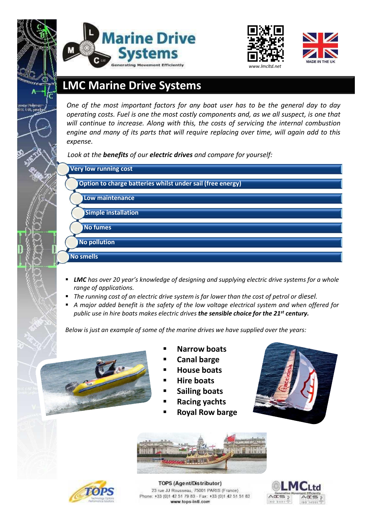





## **LMC Marine Drive Systems**

**Overview:** *operating costs. Fuel is one the most costly components and, as we all suspect, is one that One of the most important factors for any boat user has to be the general day to day will continue to increase. Along with this, the costs of servicing the internal combustion engine and many of its parts that will require replacing over time, will again add to this expense.*

*Look at the benefits of our electric drives and compare for yourself:*

| <b>Very low running cost</b>                               |
|------------------------------------------------------------|
| Option to charge batteries whilst under sail (free energy) |
| Low maintenance                                            |
| <b>Simple installation</b>                                 |
| No fumes                                                   |
| <b>No pollution</b>                                        |
| No smells                                                  |

- *LMC has over 20 year's knowledge of designing and supplying electric drive systems for a whole range of applications.*
- *The running cost of an electric drive system is far lower than the cost of petrol or diesel.*
- *A major added benefit is the safety of the low voltage electrical system and when offered for public use in hire boats makes electric drives the sensible choice for the 21st century.*

*Below is just an example of some of the marine drives we have supplied over the years:*



- **Narrow boats**
- **Canal barge**
- **House boats**
- **Hire boats**
- **Sailing boats**
- **Racing yachts**
- **Royal Row barge**







TOPS (Agent/Distributor) 23 rue JJ Rousseau, 75001 PARIS (France) Phone: +33 (0)1 42 51 79 83 - Fax: +33 (0)1 42 51 51 83 www.tops-intl.com

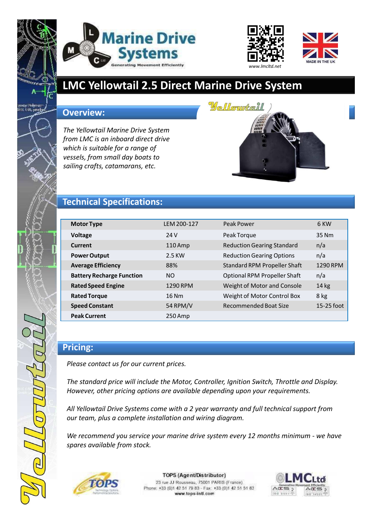





# **LMC Yellowtail 2.5 Direct Marine Drive System**

#### **Overview:**

*The Yellowtail Marine Drive System from LMC is an inboard direct drive which is suitable for a range of vessels, from small day boats to sailing crafts, catamarans, etc.*



### **Technical Specifications:**

| <b>Motor Type</b>                | LEM 200-127 | Peak Power                          | 6 KW         |
|----------------------------------|-------------|-------------------------------------|--------------|
|                                  |             |                                     |              |
| <b>Voltage</b>                   | 24 V        | Peak Torque                         | 35 Nm        |
| <b>Current</b>                   | $110$ Amp   | <b>Reduction Gearing Standard</b>   | n/a          |
| <b>Power Output</b>              | 2.5 KW      | <b>Reduction Gearing Options</b>    | n/a          |
| <b>Average Efficiency</b>        | 88%         | <b>Standard RPM Propeller Shaft</b> | 1290 RPM     |
| <b>Battery Recharge Function</b> | <b>NO</b>   | <b>Optional RPM Propeller Shaft</b> | n/a          |
| <b>Rated Speed Engine</b>        | 1290 RPM    | Weight of Motor and Console         | $14$ kg      |
| <b>Rated Torque</b>              | $16$ Nm     | Weight of Motor Control Box         | 8 kg         |
| <b>Speed Constant</b>            | 54 RPM/V    | Recommended Boat Size               | $15-25$ foot |
| <b>Peak Current</b>              | 250 Amp     |                                     |              |

### **Pricing:**

*Please contact us for our current prices.*

*The standard price will include the Motor, Controller, Ignition Switch, Throttle and Display. However, other pricing options are available depending upon your requirements.*

*All Yellowtail Drive Systems come with a 2 year warranty and full technical support from our team, plus a complete installation and wiring diagram.*

*We recommend you service your marine drive system every 12 months minimum - we have spares available from stock.*



TOPS (Agent/Distributor)

23 rue JJ Rousseau, 75001 PARIS (France) Phone: +33 (0)1 42 51 79 83 - Fax: +33 (0)1 42 51 51 83 www.tops-intl.com

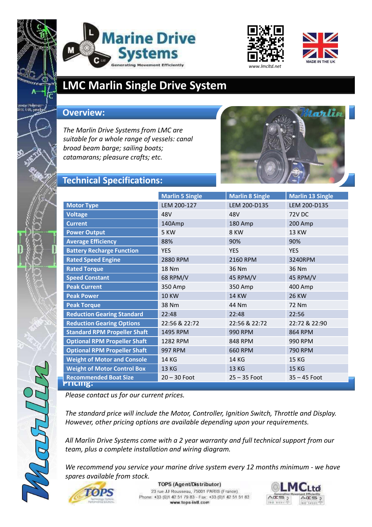





## **LMC Marlin Single Drive System**

#### **Overview:**

*The Marlin Drive Systems from LMC are suitable for a whole range of vessels: canal broad beam barge; sailing boats; catamarans; pleasure crafts; etc.*



## **Technical Specifications:**

|                                     | <b>Marlin 5 Single</b> | <b>Marlin 8 Single</b> | <b>Marlin 13 Single</b> |  |  |
|-------------------------------------|------------------------|------------------------|-------------------------|--|--|
| <b>Motor Type</b>                   | LEM 200-127            | LEM 200-D135           | LEM 200-D135            |  |  |
| <b>Voltage</b>                      | 48V                    | 48V                    | <b>72V DC</b>           |  |  |
| <b>Current</b>                      | 140Amp                 | 180 Amp                | 200 Amp                 |  |  |
| <b>Power Output</b>                 | 5 KW                   | 8 KW                   | <b>13 KW</b>            |  |  |
| <b>Average Efficiency</b>           | 88%                    | 90%                    | 90%                     |  |  |
| <b>Battery Recharge Function</b>    | <b>YES</b>             | <b>YES</b>             | <b>YES</b>              |  |  |
| <b>Rated Speed Engine</b>           | 2880 RPM               | 2160 RPM               | 3240RPM                 |  |  |
| <b>Rated Torque</b>                 | <b>18 Nm</b>           | 36 Nm                  | 36 Nm                   |  |  |
| <b>Speed Constant</b>               | <b>68 RPM/V</b>        | 45 RPM/V               | 45 RPM/V                |  |  |
| <b>Peak Current</b>                 | 350 Amp                | 350 Amp                | 400 Amp                 |  |  |
| <b>Peak Power</b>                   | <b>10 KW</b>           | <b>14 KW</b>           | <b>26 KW</b>            |  |  |
| <b>Peak Torque</b>                  | 38 Nm                  | 44 Nm                  | <b>72 Nm</b>            |  |  |
| <b>Reduction Gearing Standard</b>   | 22:48                  | 22:48                  | 22:56                   |  |  |
| <b>Reduction Gearing Options</b>    | 22:56 & 22:72          | 22:56 & 22:72          | 22:72 & 22:90           |  |  |
| <b>Standard RPM Propeller Shaft</b> | 1495 RPM               | 990 RPM                | 864 RPM                 |  |  |
| <b>Optional RPM Propeller Shaft</b> | 1282 RPM               | 848 RPM                | 990 RPM                 |  |  |
| <b>Optional RPM Propeller Shaft</b> | 997 RPM                | 660 RPM                | 790 RPM                 |  |  |
| <b>Weight of Motor and Console</b>  | 14 KG                  | 14 KG                  | <b>15 KG</b>            |  |  |
| <b>Weight of Motor Control Box</b>  | 13 KG                  | 13 KG                  | <b>15 KG</b>            |  |  |
| <b>Recommended Boat Size</b>        | $20 - 30$ Foot         | $25 - 35$ Foot         | $35 - 45$ Foot          |  |  |
| PTICING.                            |                        |                        |                         |  |  |

*Please contact us for our current prices.*

*The standard price will include the Motor, Controller, Ignition Switch, Throttle and Display. However, other pricing options are available depending upon your requirements.*

*All Marlin Drive Systems come with a 2 year warranty and full technical support from our team, plus a complete installation and wiring diagram.*

*We recommend you service your marine drive system every 12 months minimum - we have spares available from stock.*



TOPS (Agent/Distributor) 23 rue JJ Rousseau, 75001 PARIS (France) Phone: +33 (0)1 42 51 79 83 - Fax: +33 (0)1 42 51 51 83 www.tops-intl.com